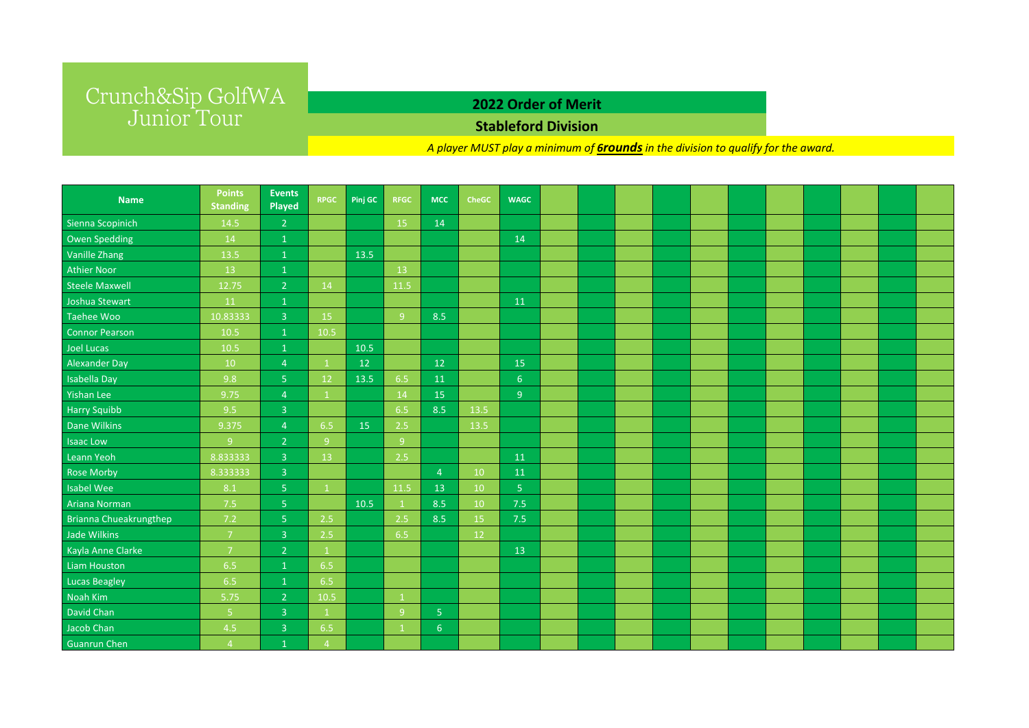## **2022 Order of Merit**

### **Stableford Division**

*A player MUST play a minimum of 6roundsin the division to qualify for the award.* 

| <b>Name</b>                   | <b>Points</b><br><b>Standing</b> | <b>Events</b><br>Played | <b>RPGC</b>    | Pinj GC | <b>RFGC</b> | <b>MCC</b>     | <b>CheGC</b> | <b>WAGC</b>    |  |  |  |  |  |  |
|-------------------------------|----------------------------------|-------------------------|----------------|---------|-------------|----------------|--------------|----------------|--|--|--|--|--|--|
| Sienna Scopinich              | 14.5                             | $\overline{2}$          |                |         | 15          | 14             |              |                |  |  |  |  |  |  |
| Owen Spedding                 | 14                               | $\mathbf{1}$            |                |         |             |                |              | 14             |  |  |  |  |  |  |
| Vanille Zhang                 | 13.5                             | $\mathbf{1}$            |                | 13.5    |             |                |              |                |  |  |  |  |  |  |
| <b>Athier Noor</b>            | 13                               | $\mathbf{1}$            |                |         | 13          |                |              |                |  |  |  |  |  |  |
| <b>Steele Maxwell</b>         | 12.75                            | $\overline{2}$          | 14             |         | 11.5        |                |              |                |  |  |  |  |  |  |
| Joshua Stewart                | 11                               | $\mathbf 1$             |                |         |             |                |              | 11             |  |  |  |  |  |  |
| Taehee Woo                    | 10.83333                         | $\overline{3}$          | 15             |         | 9           | 8.5            |              |                |  |  |  |  |  |  |
| <b>Connor Pearson</b>         | 10.5                             | $\mathbf{1}$            | 10.5           |         |             |                |              |                |  |  |  |  |  |  |
| Joel Lucas                    | 10.5                             | $\mathbf{1}$            |                | 10.5    |             |                |              |                |  |  |  |  |  |  |
| Alexander Day                 | 10                               | $\overline{4}$          | $\mathbf{1}$   | 12      |             | 12             |              | 15             |  |  |  |  |  |  |
| Isabella Day                  | 9.8                              | 5 <sub>1</sub>          | 12             | 13.5    | 6.5         | 11             |              | 6 <sup>1</sup> |  |  |  |  |  |  |
| Yishan Lee                    | 9.75                             | $\overline{4}$          | $\mathbf{1}$   |         | 14          | 15             |              | 9 <sup>°</sup> |  |  |  |  |  |  |
| <b>Harry Squibb</b>           | 9.5                              | $\overline{3}$          |                |         | 6.5         | 8.5            | 13.5         |                |  |  |  |  |  |  |
| Dane Wilkins                  | 9.375                            | $\overline{4}$          | 6.5            | 15      | 2.5         |                | 13.5         |                |  |  |  |  |  |  |
| <b>Isaac Low</b>              | 9 <sub>o</sub>                   | $\overline{2}$          | 9 <sup>°</sup> |         | 9           |                |              |                |  |  |  |  |  |  |
| Leann Yeoh                    | 8.833333                         | $\overline{3}$          | 13             |         | 2.5         |                |              | 11             |  |  |  |  |  |  |
| <b>Rose Morby</b>             | 8.333333                         | $\overline{3}$          |                |         |             | $\overline{4}$ | 10           | 11             |  |  |  |  |  |  |
| <b>Isabel Wee</b>             | 8.1                              | $\overline{5}$          | $\mathbf{1}$   |         | 11.5        | 13             | 10           | 5 <sub>1</sub> |  |  |  |  |  |  |
| Ariana Norman                 | 7.5                              | $\overline{5}$          |                | 10.5    | -1          | 8.5            | 10           | 7.5            |  |  |  |  |  |  |
| <b>Brianna Chueakrungthep</b> | 7.2                              | 5 <sub>1</sub>          | 2.5            |         | 2.5         | 8.5            | 15           | 7.5            |  |  |  |  |  |  |
| Jade Wilkins                  | $\overline{7}$                   | $\overline{3}$          | 2.5            |         | 6.5         |                | 12           |                |  |  |  |  |  |  |
| Kayla Anne Clarke             | $\overline{7}$                   | $\overline{2}$          | $\mathbf{1}$   |         |             |                |              | 13             |  |  |  |  |  |  |
| Liam Houston                  | 6.5                              |                         | 6.5            |         |             |                |              |                |  |  |  |  |  |  |
| <b>Lucas Beagley</b>          | 6.5                              | $\mathbf{1}$            | 6.5            |         |             |                |              |                |  |  |  |  |  |  |
| Noah Kim                      | 5.75                             | $\overline{2}$          | 10.5           |         | -1          |                |              |                |  |  |  |  |  |  |
| David Chan                    | 5 <sub>1</sub>                   | $\overline{3}$          | $\mathbf{1}$   |         | 9           | 5 <sub>o</sub> |              |                |  |  |  |  |  |  |
| Jacob Chan                    | 4.5                              | $\overline{3}$          | 6.5            |         | -1          | 6 <sup>6</sup> |              |                |  |  |  |  |  |  |
| <b>Guanrun Chen</b>           | $\overline{4}$                   | $\mathbf{1}$            | $\overline{4}$ |         |             |                |              |                |  |  |  |  |  |  |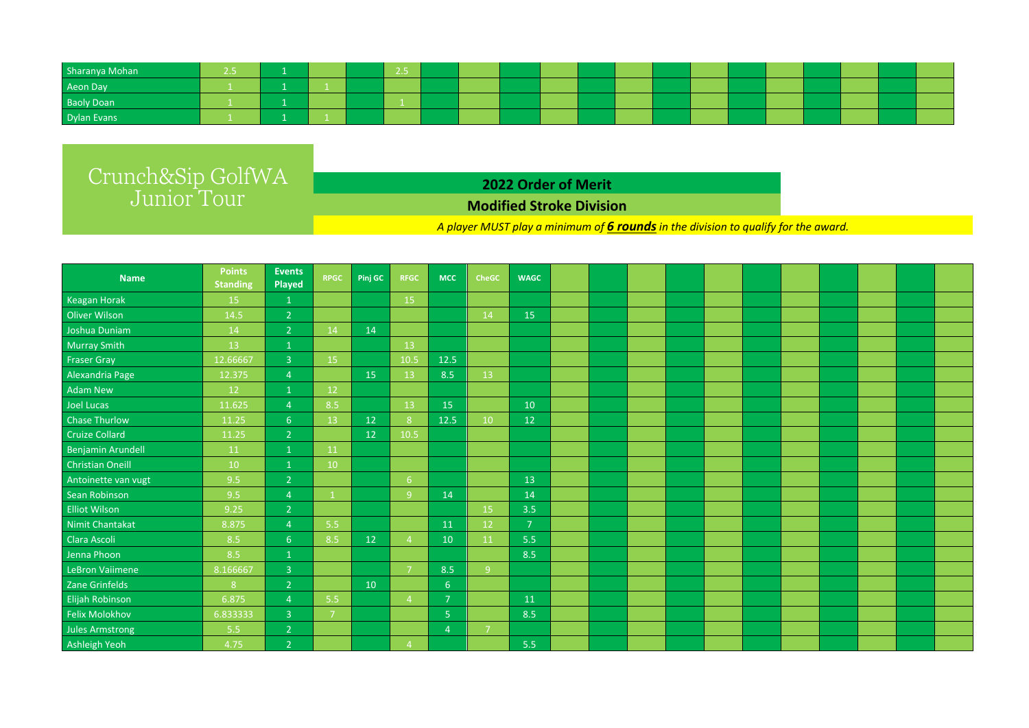| Sharanya Mohan    |  |  | . |  |  |  |  |  |  |  |
|-------------------|--|--|---|--|--|--|--|--|--|--|
| Aeon Day          |  |  |   |  |  |  |  |  |  |  |
| <b>Baoly Doan</b> |  |  |   |  |  |  |  |  |  |  |
| Dylan Evans       |  |  |   |  |  |  |  |  |  |  |

**2022 Order of Merit**

### **Modified Stroke Division**

*A player MUST play a minimum of 6 roundsin the division to qualify for the award.* 

| <b>Name</b>             | <b>Points</b><br><b>Standing</b> | <b>Events</b><br>Played | <b>RPGC</b>    | Pinj GC | <b>RFGC</b>    | <b>MCC</b>     | <b>CheGC</b>   | <b>WAGC</b>    |  |  |  |  |  |  |
|-------------------------|----------------------------------|-------------------------|----------------|---------|----------------|----------------|----------------|----------------|--|--|--|--|--|--|
| Keagan Horak            | 15                               | 1                       |                |         | 15             |                |                |                |  |  |  |  |  |  |
| <b>Oliver Wilson</b>    | 14.5                             | $\overline{2}$          |                |         |                |                | 14             | 15             |  |  |  |  |  |  |
| Joshua Duniam           | 14                               | $\overline{2}$          | 14             | 14      |                |                |                |                |  |  |  |  |  |  |
| <b>Murray Smith</b>     | 13                               | $\mathbf{1}$            |                |         | 13             |                |                |                |  |  |  |  |  |  |
| <b>Fraser Gray</b>      | 12.66667                         | $\overline{3}$          | 15             |         | 10.5           | 12.5           |                |                |  |  |  |  |  |  |
| Alexandria Page         | 12.375                           | $\overline{4}$          |                | 15      | 13             | 8.5            | 13             |                |  |  |  |  |  |  |
| <b>Adam New</b>         | 12                               | $\mathbf{1}$            | 12             |         |                |                |                |                |  |  |  |  |  |  |
| Joel Lucas              | 11.625                           | $\overline{4}$          | 8.5            |         | 13             | 15             |                | 10             |  |  |  |  |  |  |
| <b>Chase Thurlow</b>    | 11.25                            | 6 <sup>1</sup>          | 13             | 12      | 8 <sup>°</sup> | 12.5           | 10             | 12             |  |  |  |  |  |  |
| <b>Cruize Collard</b>   | 11.25                            | $\overline{2}$          |                | 12      | 10.5           |                |                |                |  |  |  |  |  |  |
| Benjamin Arundell       | 11                               | $\mathbf 1$             | 11             |         |                |                |                |                |  |  |  |  |  |  |
| <b>Christian Oneill</b> | 10                               | $\mathbf{1}$            | 10             |         |                |                |                |                |  |  |  |  |  |  |
| Antoinette van vugt     | 9.5                              | $\overline{2}$          |                |         | 6 <sup>6</sup> |                |                | 13             |  |  |  |  |  |  |
| Sean Robinson           | 9.5                              | $\overline{4}$          | $\mathbf{1}$   |         | 9              | 14             |                | 14             |  |  |  |  |  |  |
| <b>Elliot Wilson</b>    | 9.25                             | $\overline{2}$          |                |         |                |                | 15             | 3.5            |  |  |  |  |  |  |
| Nimit Chantakat         | 8.875                            | $\overline{4}$          | 5.5            |         |                | 11             | 12             | $\overline{7}$ |  |  |  |  |  |  |
| Clara Ascoli            | 8.5                              | 6 <sup>1</sup>          | 8.5            | 12      | $\overline{4}$ | 10             | 11             | 5.5            |  |  |  |  |  |  |
| Jenna Phoon             | 8.5                              | $\mathbf{1}$            |                |         |                |                |                | 8.5            |  |  |  |  |  |  |
| LeBron Vaiimene         | 8.166667                         | $\overline{3}$          |                |         | -7             | 8.5            | 9 <sup>°</sup> |                |  |  |  |  |  |  |
| Zane Grinfelds          | 8                                | $\overline{2}$          |                | 10      |                | 6              |                |                |  |  |  |  |  |  |
| <b>Elijah Robinson</b>  | 6.875                            | $\overline{4}$          | 5.5            |         | $\overline{4}$ | $\overline{7}$ |                | 11             |  |  |  |  |  |  |
| <b>Felix Molokhov</b>   | 6.833333                         | $\overline{3}$          | $\overline{7}$ |         |                | $5\phantom{.}$ |                | 8.5            |  |  |  |  |  |  |
| <b>Jules Armstrong</b>  | 5.5                              | $\overline{2}$          |                |         |                | $\overline{4}$ | -7             |                |  |  |  |  |  |  |
| Ashleigh Yeoh           | 4.75                             | $\overline{2}$          |                |         | $\overline{4}$ |                |                | 5.5            |  |  |  |  |  |  |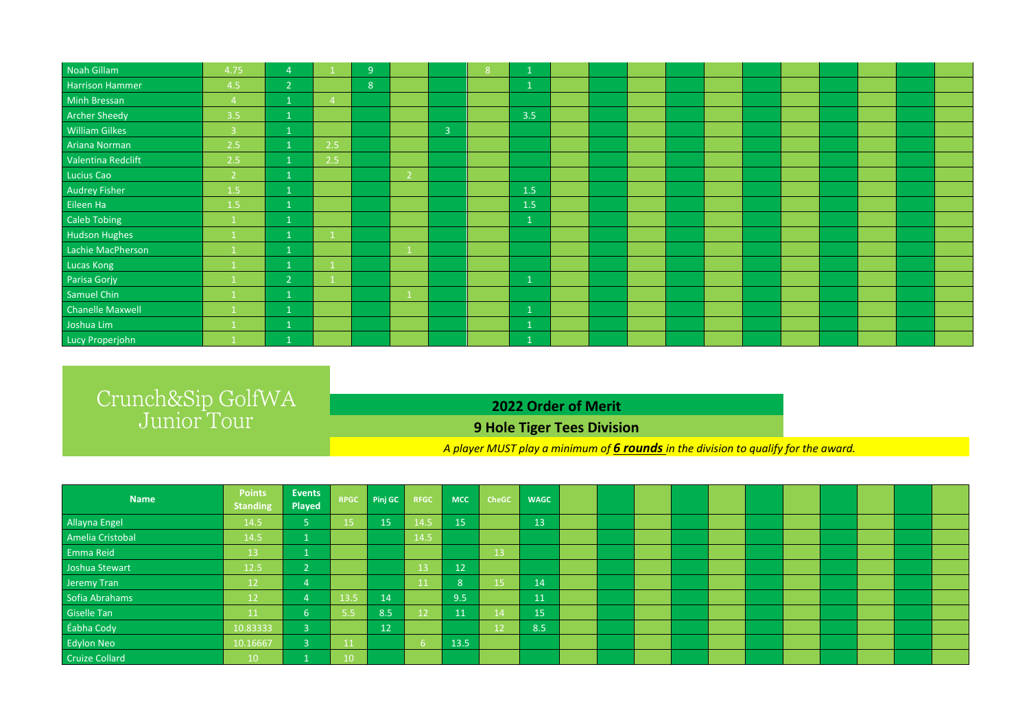| Noah Gillam             | 4.75           | $\overline{4}$ |     | 9 <sup>°</sup> |                |                | 8 <sup>°</sup> |              |  |  |  |  |  |  |
|-------------------------|----------------|----------------|-----|----------------|----------------|----------------|----------------|--------------|--|--|--|--|--|--|
| Harrison Hammer         | 4.5            | $\overline{2}$ |     | 8              |                |                |                |              |  |  |  |  |  |  |
| Minh Bressan            | $\overline{4}$ | $\mathbf{1}$   | -4  |                |                |                |                |              |  |  |  |  |  |  |
| <b>Archer Sheedy</b>    | 3.5            | $\mathbf{1}$   |     |                |                |                |                | 3.5          |  |  |  |  |  |  |
| <b>William Gilkes</b>   | $\overline{3}$ | $\mathbf{1}$   |     |                |                | $\overline{3}$ |                |              |  |  |  |  |  |  |
| Ariana Norman           | 2.5            | $\mathbf{1}$   | 2.5 |                |                |                |                |              |  |  |  |  |  |  |
| Valentina Redclift      | 2.5            | $\mathbf{1}$   | 2.5 |                |                |                |                |              |  |  |  |  |  |  |
| Lucius Cao              | 2 <sup>1</sup> | $\mathbf{1}$   |     |                | $\overline{2}$ |                |                |              |  |  |  |  |  |  |
| <b>Audrey Fisher</b>    | 1.5            | $\mathbf{1}$   |     |                |                |                |                | 1.5          |  |  |  |  |  |  |
| Eileen Ha               | 1.5            | $\mathbf{1}$   |     |                |                |                |                | 1.5          |  |  |  |  |  |  |
| Caleb Tobing            |                | $\mathbf{1}$   |     |                |                |                |                | $\mathbf{1}$ |  |  |  |  |  |  |
| <b>Hudson Hughes</b>    |                | $\mathbf{1}$   |     |                |                |                |                |              |  |  |  |  |  |  |
| Lachie MacPherson       |                | $\mathbf{1}$   |     |                |                |                |                |              |  |  |  |  |  |  |
| Lucas Kong              |                | $\mathbf 1$    |     |                |                |                |                |              |  |  |  |  |  |  |
| Parisa Gorjy            |                | $\overline{2}$ |     |                |                |                |                | $\mathbf{1}$ |  |  |  |  |  |  |
| Samuel Chin             |                | $\mathbf{1}$   |     |                |                |                |                |              |  |  |  |  |  |  |
| <b>Chanelle Maxwell</b> |                | $\overline{1}$ |     |                |                |                |                | $\mathbf{1}$ |  |  |  |  |  |  |
| Joshua Lim              |                | 1              |     |                |                |                |                |              |  |  |  |  |  |  |
| Lucy Properjohn         |                |                |     |                |                |                |                |              |  |  |  |  |  |  |

### **2022 Order of Merit**

### **9 Hole Tiger Tees Division**

*A player MUST play a minimum of 6 rounds in the division to qualify for the award.* 

| <b>Name</b>           | <b>Points</b><br><b>Standing</b> | <b>Events</b><br>Played | <b>RPGC</b> | Pinj GC | <b>RFGC</b> | <b>MCC</b> | <b>CheGC</b> | <b>WAGC</b>     |  |  |  |  |  |  |
|-----------------------|----------------------------------|-------------------------|-------------|---------|-------------|------------|--------------|-----------------|--|--|--|--|--|--|
| <b>Allayna Engel</b>  | 14.5                             | 5                       | 15          | 15      | 14.5        | 15         |              | 13              |  |  |  |  |  |  |
| Amelia Cristobal      | 14.5                             | L.                      |             |         | 14.5        |            |              |                 |  |  |  |  |  |  |
| Emma Reid             | 13                               | J.                      |             |         |             |            | 13           |                 |  |  |  |  |  |  |
| Joshua Stewart        | 12.5                             | $\overline{2}$          |             |         | 1 ว         | 12         |              |                 |  |  |  |  |  |  |
| Jeremy Tran           | $\overline{1}2$                  | 4                       |             |         | 11          | $\Omega$   | 15           | $\overline{14}$ |  |  |  |  |  |  |
| Sofia Abrahams        | 12                               |                         | 13.5        | 14      |             | 9.5        |              | 11              |  |  |  |  |  |  |
| Giselle Tan           | <b>11</b>                        | 6 <sup>6</sup>          | 5.5         | 8.5     |             | 11         | 14           | 15              |  |  |  |  |  |  |
| Éabha Cody            | 10.83333                         | $\overline{3}$          |             | 12      |             |            | 12           | 8.5             |  |  |  |  |  |  |
| Edylon Neo            | 10.16667                         | 3                       |             |         |             | 13.5       |              |                 |  |  |  |  |  |  |
| <b>Cruize Collard</b> | 10                               |                         | 10          |         |             |            |              |                 |  |  |  |  |  |  |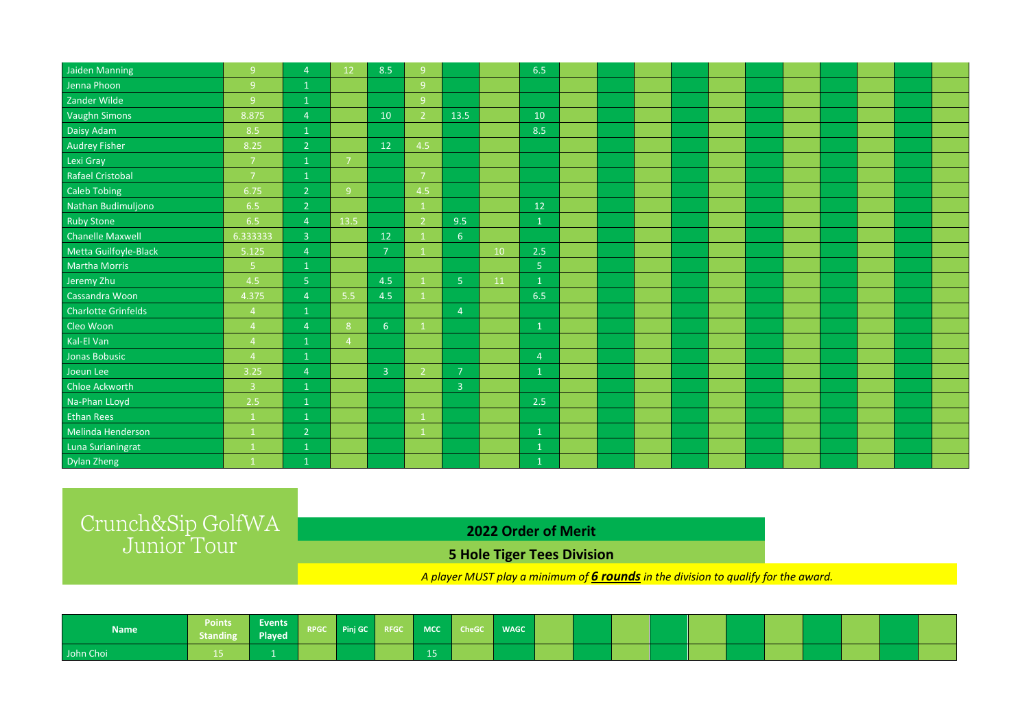| Jaiden Manning          | 9 <sup>°</sup>          | $\overline{4}$ | 12                       | 8.5                     | 9              |                |    | 6.5            |  |  |  |  |  |  |
|-------------------------|-------------------------|----------------|--------------------------|-------------------------|----------------|----------------|----|----------------|--|--|--|--|--|--|
| Jenna Phoon             | 9                       | $\mathbf{1}$   |                          |                         | 9 <sup>°</sup> |                |    |                |  |  |  |  |  |  |
| Zander Wilde            | 9                       | $\mathbf 1$    |                          |                         | 9              |                |    |                |  |  |  |  |  |  |
| <b>Vaughn Simons</b>    | 8.875                   | $\overline{4}$ |                          | 10                      | $\overline{2}$ | 13.5           |    | 10             |  |  |  |  |  |  |
| Daisy Adam              | 8.5                     | $\mathbf{1}$   |                          |                         |                |                |    | 8.5            |  |  |  |  |  |  |
| <b>Audrey Fisher</b>    | 8.25                    | $\overline{2}$ |                          | 12                      | 4.5            |                |    |                |  |  |  |  |  |  |
| Lexi Gray               | $\overline{7}$          | $\mathbf{1}$   | -7                       |                         |                |                |    |                |  |  |  |  |  |  |
| <b>Rafael Cristobal</b> | $\overline{7}$          | $\mathbf{1}$   |                          |                         | $\overline{7}$ |                |    |                |  |  |  |  |  |  |
| <b>Caleb Tobing</b>     | 6.75                    | $\overline{2}$ | 9                        |                         | 4.5            |                |    |                |  |  |  |  |  |  |
| Nathan Budimuljono      | 6.5                     | $\overline{2}$ |                          |                         |                |                |    | 12             |  |  |  |  |  |  |
| <b>Ruby Stone</b>       | 6.5                     | $\overline{4}$ | 13.5                     |                         | - 2            | 9.5            |    | $\mathbf{1}$   |  |  |  |  |  |  |
| <b>Chanelle Maxwell</b> | 6.333333                | $\overline{3}$ |                          | 12                      |                | 6 <sup>1</sup> |    |                |  |  |  |  |  |  |
| Metta Guilfoyle-Black   | 5.125                   | $\overline{4}$ |                          | $\overline{7}$          |                |                | 10 | 2.5            |  |  |  |  |  |  |
| Martha Morris           | 5 <sub>1</sub>          | $\mathbf{1}$   |                          |                         |                |                |    | 5 <sub>o</sub> |  |  |  |  |  |  |
| Jeremy Zhu              | 4.5                     | 5 <sub>1</sub> |                          | 4.5                     |                | 5 <sup>1</sup> | 11 | $\mathbf{1}$   |  |  |  |  |  |  |
| Cassandra Woon          | 4.375                   | $\overline{4}$ | 5.5                      | 4.5                     |                |                |    | 6.5            |  |  |  |  |  |  |
| Charlotte Grinfelds     | $\overline{4}$          | $\mathbf{1}$   |                          |                         |                | $\overline{4}$ |    |                |  |  |  |  |  |  |
| Cleo Woon               | $\overline{A}$          | $\overline{4}$ | 8                        | 6 <sup>6</sup>          |                |                |    | $\mathbf{1}$   |  |  |  |  |  |  |
| Kal-El Van              | $\overline{4}$          | $\mathbf{1}$   | $\boldsymbol{\varDelta}$ |                         |                |                |    |                |  |  |  |  |  |  |
| Jonas Bobusic           | $\overline{4}$          | $\mathbf{1}$   |                          |                         |                |                |    | $\overline{4}$ |  |  |  |  |  |  |
| Joeun Lee               | 3.25                    | $\overline{4}$ |                          | $\overline{\mathbf{3}}$ | $\overline{2}$ | $\overline{7}$ |    | $\mathbf{1}$   |  |  |  |  |  |  |
| Chloe Ackworth          | $\overline{\mathbf{3}}$ | $\mathbf 1$    |                          |                         |                | $\overline{3}$ |    |                |  |  |  |  |  |  |
| Na-Phan LLoyd           | 2.5                     | $\mathbf{1}$   |                          |                         |                |                |    | 2.5            |  |  |  |  |  |  |
| <b>Ethan Rees</b>       | $\overline{1}$          | $\mathbf{1}$   |                          |                         |                |                |    |                |  |  |  |  |  |  |
| Melinda Henderson       | $\mathbf{1}$            | $\overline{2}$ |                          |                         |                |                |    | $\mathbf{1}$   |  |  |  |  |  |  |
| Luna Surianingrat       |                         | $\mathbf{1}$   |                          |                         |                |                |    | $\mathbf{1}$   |  |  |  |  |  |  |
| Dylan Zheng             |                         | $\mathbf{1}$   |                          |                         |                |                |    | $\mathbf{1}$   |  |  |  |  |  |  |

## **2022 Order of Merit**

**5 Hole Tiger Tees Division**

*A player MUST play a minimum of 6 roundsin the division to qualify for the award.* 

| <b>Name</b> | Points Events RPGC Pinj GC RFGC MCC CheGC |  |  |    | <b>NAGC</b> |  |  |  |  |  |  |
|-------------|-------------------------------------------|--|--|----|-------------|--|--|--|--|--|--|
| John Choi   |                                           |  |  | 15 |             |  |  |  |  |  |  |